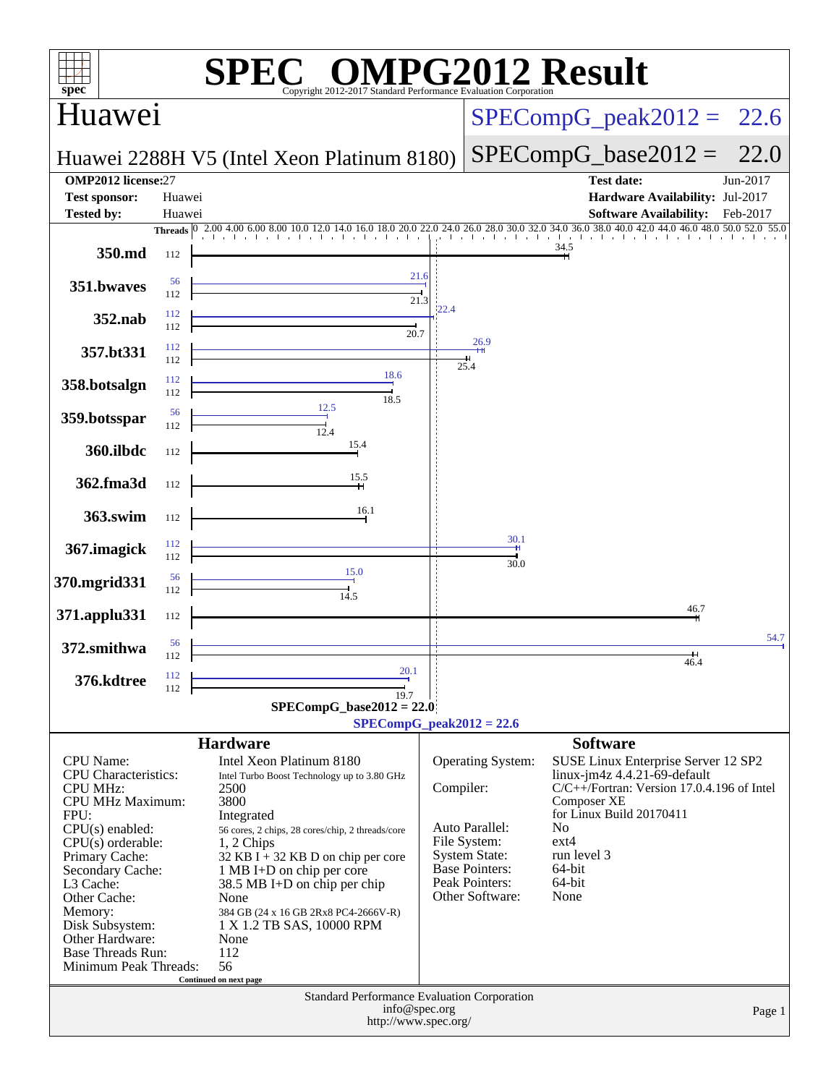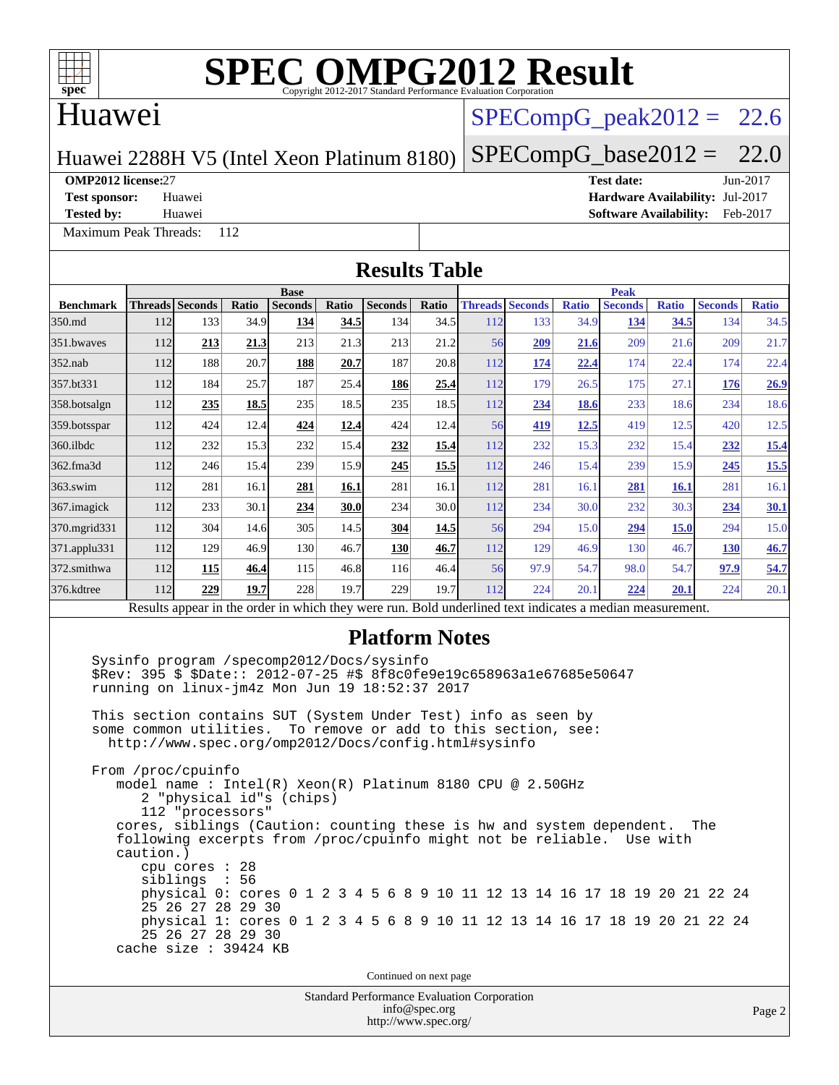### Huawei

### $SPECompG<sub>peak2012</sub> = 22.6$

Huawei 2288H V5 (Intel Xeon Platinum 8180)

### $SPECompG_base2012 = 22.0$  $SPECompG_base2012 = 22.0$

#### **[OMP2012 license:](http://www.spec.org/auto/omp2012/Docs/result-fields.html#OMP2012license)**27 **[Test date:](http://www.spec.org/auto/omp2012/Docs/result-fields.html#Testdate)** Jun-2017

**[Test sponsor:](http://www.spec.org/auto/omp2012/Docs/result-fields.html#Testsponsor)** Huawei **[Hardware Availability:](http://www.spec.org/auto/omp2012/Docs/result-fields.html#HardwareAvailability)** Jul-2017

[Maximum Peak Threads:](http://www.spec.org/auto/omp2012/Docs/result-fields.html#MaximumPeakThreads) 112

**[Tested by:](http://www.spec.org/auto/omp2012/Docs/result-fields.html#Testedby)** Huawei **[Software Availability:](http://www.spec.org/auto/omp2012/Docs/result-fields.html#SoftwareAvailability)** Feb-2017

#### **[Results Table](http://www.spec.org/auto/omp2012/Docs/result-fields.html#ResultsTable) [Benchmark](http://www.spec.org/auto/omp2012/Docs/result-fields.html#Benchmark) [Threads](http://www.spec.org/auto/omp2012/Docs/result-fields.html#Threads) [Seconds](http://www.spec.org/auto/omp2012/Docs/result-fields.html#Seconds) [Ratio](http://www.spec.org/auto/omp2012/Docs/result-fields.html#Ratio) [Seconds](http://www.spec.org/auto/omp2012/Docs/result-fields.html#Seconds) [Ratio](http://www.spec.org/auto/omp2012/Docs/result-fields.html#Ratio) [Seconds](http://www.spec.org/auto/omp2012/Docs/result-fields.html#Seconds) [Ratio](http://www.spec.org/auto/omp2012/Docs/result-fields.html#Ratio) Base [Threads](http://www.spec.org/auto/omp2012/Docs/result-fields.html#Threads) [Seconds](http://www.spec.org/auto/omp2012/Docs/result-fields.html#Seconds) [Ratio](http://www.spec.org/auto/omp2012/Docs/result-fields.html#Ratio) [Seconds](http://www.spec.org/auto/omp2012/Docs/result-fields.html#Seconds) [Ratio](http://www.spec.org/auto/omp2012/Docs/result-fields.html#Ratio) [Seconds](http://www.spec.org/auto/omp2012/Docs/result-fields.html#Seconds) [Ratio](http://www.spec.org/auto/omp2012/Docs/result-fields.html#Ratio) Peak** [350.md](http://www.spec.org/auto/omp2012/Docs/350.md.html) 112 133 34.9 **[134](http://www.spec.org/auto/omp2012/Docs/result-fields.html#Median) [34.5](http://www.spec.org/auto/omp2012/Docs/result-fields.html#Median)** 134 34.5 112 133 34.9 **[134](http://www.spec.org/auto/omp2012/Docs/result-fields.html#Median) [34.5](http://www.spec.org/auto/omp2012/Docs/result-fields.html#Median)** 134 34.5 [351.bwaves](http://www.spec.org/auto/omp2012/Docs/351.bwaves.html) 112 **[213](http://www.spec.org/auto/omp2012/Docs/result-fields.html#Median) [21.3](http://www.spec.org/auto/omp2012/Docs/result-fields.html#Median)** 213 21.3 213 21.2 56 **[209](http://www.spec.org/auto/omp2012/Docs/result-fields.html#Median) [21.6](http://www.spec.org/auto/omp2012/Docs/result-fields.html#Median)** 209 21.6 209 21.7 [352.nab](http://www.spec.org/auto/omp2012/Docs/352.nab.html) 112 188 20.7 **[188](http://www.spec.org/auto/omp2012/Docs/result-fields.html#Median) [20.7](http://www.spec.org/auto/omp2012/Docs/result-fields.html#Median)** 187 20.8 112 **[174](http://www.spec.org/auto/omp2012/Docs/result-fields.html#Median) [22.4](http://www.spec.org/auto/omp2012/Docs/result-fields.html#Median)** 174 22.4 174 22.4 [357.bt331](http://www.spec.org/auto/omp2012/Docs/357.bt331.html) 112 184 25.7 187 25.4 **[186](http://www.spec.org/auto/omp2012/Docs/result-fields.html#Median) [25.4](http://www.spec.org/auto/omp2012/Docs/result-fields.html#Median)** 112 179 26.5 175 27.1 **[176](http://www.spec.org/auto/omp2012/Docs/result-fields.html#Median) [26.9](http://www.spec.org/auto/omp2012/Docs/result-fields.html#Median)** [358.botsalgn](http://www.spec.org/auto/omp2012/Docs/358.botsalgn.html) 112 **[235](http://www.spec.org/auto/omp2012/Docs/result-fields.html#Median) [18.5](http://www.spec.org/auto/omp2012/Docs/result-fields.html#Median)** 235 18.5 235 18.5 112 **[234](http://www.spec.org/auto/omp2012/Docs/result-fields.html#Median) [18.6](http://www.spec.org/auto/omp2012/Docs/result-fields.html#Median)** 233 18.6 234 18.6 [359.botsspar](http://www.spec.org/auto/omp2012/Docs/359.botsspar.html) 112 424 12.4 **[424](http://www.spec.org/auto/omp2012/Docs/result-fields.html#Median) [12.4](http://www.spec.org/auto/omp2012/Docs/result-fields.html#Median)** 424 12.4 56 **[419](http://www.spec.org/auto/omp2012/Docs/result-fields.html#Median) [12.5](http://www.spec.org/auto/omp2012/Docs/result-fields.html#Median)** 419 12.5 420 12.5 [360.ilbdc](http://www.spec.org/auto/omp2012/Docs/360.ilbdc.html) 112 232 15.3 232 15.4 **[232](http://www.spec.org/auto/omp2012/Docs/result-fields.html#Median) [15.4](http://www.spec.org/auto/omp2012/Docs/result-fields.html#Median)** 112 232 15.3 232 15.4 **[232](http://www.spec.org/auto/omp2012/Docs/result-fields.html#Median) [15.4](http://www.spec.org/auto/omp2012/Docs/result-fields.html#Median)** [362.fma3d](http://www.spec.org/auto/omp2012/Docs/362.fma3d.html) 112 246 15.4 239 15.9 **[245](http://www.spec.org/auto/omp2012/Docs/result-fields.html#Median) [15.5](http://www.spec.org/auto/omp2012/Docs/result-fields.html#Median)** 112 246 15.4 239 15.9 **[245](http://www.spec.org/auto/omp2012/Docs/result-fields.html#Median) [15.5](http://www.spec.org/auto/omp2012/Docs/result-fields.html#Median)** [363.swim](http://www.spec.org/auto/omp2012/Docs/363.swim.html) 112 281 16.1 **[281](http://www.spec.org/auto/omp2012/Docs/result-fields.html#Median) [16.1](http://www.spec.org/auto/omp2012/Docs/result-fields.html#Median)** 281 16.1 112 281 16.1 **[281](http://www.spec.org/auto/omp2012/Docs/result-fields.html#Median) [16.1](http://www.spec.org/auto/omp2012/Docs/result-fields.html#Median)** 281 16.1 [367.imagick](http://www.spec.org/auto/omp2012/Docs/367.imagick.html) 112 233 30.1 **[234](http://www.spec.org/auto/omp2012/Docs/result-fields.html#Median) [30.0](http://www.spec.org/auto/omp2012/Docs/result-fields.html#Median)** 234 30.0 112 234 30.0 232 30.3 **[234](http://www.spec.org/auto/omp2012/Docs/result-fields.html#Median) [30.1](http://www.spec.org/auto/omp2012/Docs/result-fields.html#Median)** [370.mgrid331](http://www.spec.org/auto/omp2012/Docs/370.mgrid331.html) 112 304 14.6 305 14.5 **[304](http://www.spec.org/auto/omp2012/Docs/result-fields.html#Median) [14.5](http://www.spec.org/auto/omp2012/Docs/result-fields.html#Median)** 56 294 15.0 **[294](http://www.spec.org/auto/omp2012/Docs/result-fields.html#Median) [15.0](http://www.spec.org/auto/omp2012/Docs/result-fields.html#Median)** 294 15.0 [371.applu331](http://www.spec.org/auto/omp2012/Docs/371.applu331.html) 112 129 46.9 130 46.7 **[130](http://www.spec.org/auto/omp2012/Docs/result-fields.html#Median) [46.7](http://www.spec.org/auto/omp2012/Docs/result-fields.html#Median)** 112 129 46.9 130 46.7 **[130](http://www.spec.org/auto/omp2012/Docs/result-fields.html#Median) [46.7](http://www.spec.org/auto/omp2012/Docs/result-fields.html#Median)** [372.smithwa](http://www.spec.org/auto/omp2012/Docs/372.smithwa.html) 112 **[115](http://www.spec.org/auto/omp2012/Docs/result-fields.html#Median) [46.4](http://www.spec.org/auto/omp2012/Docs/result-fields.html#Median)** 115 46.8 116 46.4 56 97.9 54.7 98.0 54.7 **[97.9](http://www.spec.org/auto/omp2012/Docs/result-fields.html#Median) [54.7](http://www.spec.org/auto/omp2012/Docs/result-fields.html#Median)** [376.kdtree](http://www.spec.org/auto/omp2012/Docs/376.kdtree.html) 112 **[229](http://www.spec.org/auto/omp2012/Docs/result-fields.html#Median) [19.7](http://www.spec.org/auto/omp2012/Docs/result-fields.html#Median)** 228 19.7 229 19.7 112 224 20.1 **[224](http://www.spec.org/auto/omp2012/Docs/result-fields.html#Median) [20.1](http://www.spec.org/auto/omp2012/Docs/result-fields.html#Median)** 224 20.1 Results appear in the [order in which they were run.](http://www.spec.org/auto/omp2012/Docs/result-fields.html#RunOrder) Bold underlined text [indicates a median measurement.](http://www.spec.org/auto/omp2012/Docs/result-fields.html#Median) **[Platform Notes](http://www.spec.org/auto/omp2012/Docs/result-fields.html#PlatformNotes)** Sysinfo program /specomp2012/Docs/sysinfo \$Rev: 395 \$ \$Date:: 2012-07-25 #\$ 8f8c0fe9e19c658963a1e67685e50647 running on linux-jm4z Mon Jun 19 18:52:37 2017 This section contains SUT (System Under Test) info as seen by some common utilities. To remove or add to this section, see: <http://www.spec.org/omp2012/Docs/config.html#sysinfo> From /proc/cpuinfo model name : Intel(R) Xeon(R) Platinum 8180 CPU @ 2.50GHz 2 "physical id"s (chips) 112 "processors" cores, siblings (Caution: counting these is hw and system dependent. The following excerpts from /proc/cpuinfo might not be reliable. Use with caution.) cpu cores : 28 siblings : 56 physical 0: cores 0 1 2 3 4 5 6 8 9 10 11 12 13 14 16 17 18 19 20 21 22 24 25 26 27 28 29 30 physical 1: cores 0 1 2 3 4 5 6 8 9 10 11 12 13 14 16 17 18 19 20 21 22 24 25 26 27 28 29 30 cache size : 39424 KB

Continued on next page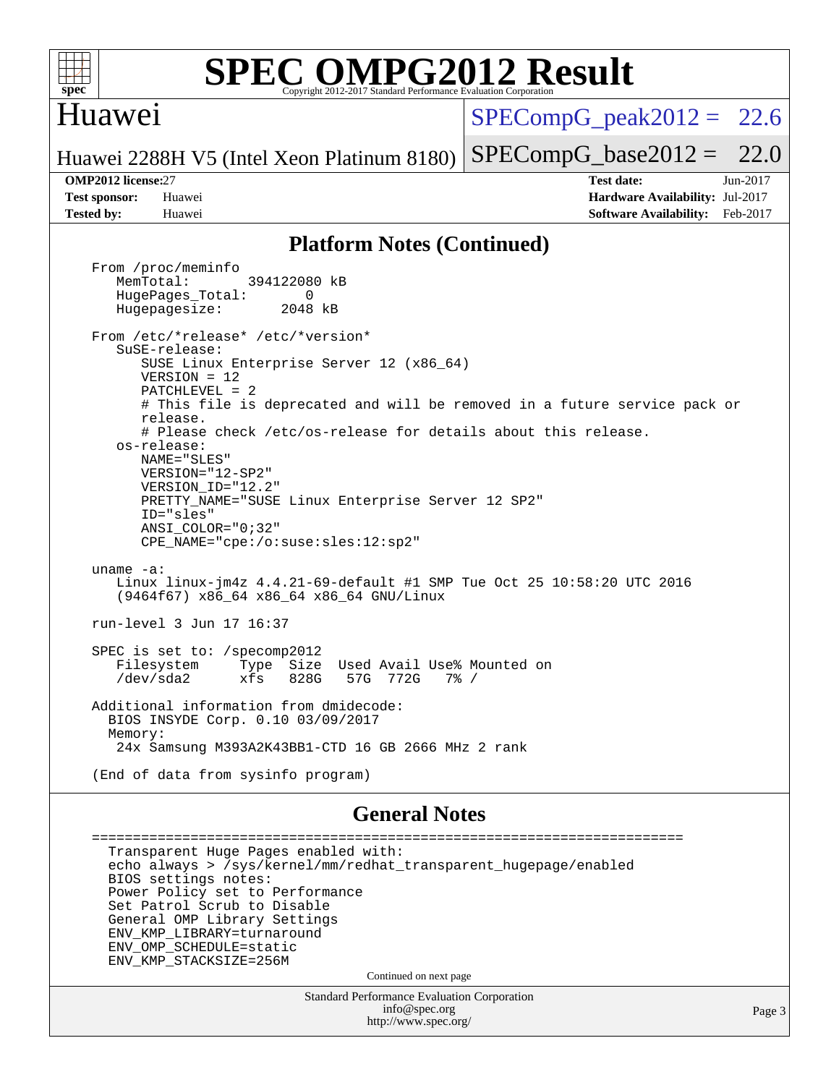

#### Huawei

 $SPECompG<sub>peak2012</sub> = 22.6$ 

Huawei 2288H V5 (Intel Xeon Platinum 8180)  $SPECompG_base2012 = 22.0$  $SPECompG_base2012 = 22.0$ 

**[OMP2012 license:](http://www.spec.org/auto/omp2012/Docs/result-fields.html#OMP2012license)**27 **[Test date:](http://www.spec.org/auto/omp2012/Docs/result-fields.html#Testdate)** Jun-2017 **[Test sponsor:](http://www.spec.org/auto/omp2012/Docs/result-fields.html#Testsponsor)** Huawei **[Hardware Availability:](http://www.spec.org/auto/omp2012/Docs/result-fields.html#HardwareAvailability)** Jul-2017 **[Tested by:](http://www.spec.org/auto/omp2012/Docs/result-fields.html#Testedby)** Huawei **[Software Availability:](http://www.spec.org/auto/omp2012/Docs/result-fields.html#SoftwareAvailability)** Feb-2017

#### **[Platform Notes \(Continued\)](http://www.spec.org/auto/omp2012/Docs/result-fields.html#PlatformNotes)**

 From /proc/meminfo MemTotal: 394122080 kB HugePages\_Total: 0<br>Hugepagesize: 2048 kB Hugepagesize: From /etc/\*release\* /etc/\*version\* SuSE-release: SUSE Linux Enterprise Server 12 (x86\_64) VERSION = 12 PATCHLEVEL = 2 # This file is deprecated and will be removed in a future service pack or release. # Please check /etc/os-release for details about this release. os-release: NAME="SLES" VERSION="12-SP2" VERSION\_ID="12.2" PRETTY\_NAME="SUSE Linux Enterprise Server 12 SP2" ID="sles" ANSI\_COLOR="0;32" CPE\_NAME="cpe:/o:suse:sles:12:sp2" uname -a: Linux linux-jm4z 4.4.21-69-default #1 SMP Tue Oct 25 10:58:20 UTC 2016 (9464f67) x86\_64 x86\_64 x86\_64 GNU/Linux run-level 3 Jun 17 16:37 SPEC is set to: /specomp2012 Filesystem Type Size Used Avail Use% Mounted on /dev/sda2 xfs 828G 57G 772G 7% / Additional information from dmidecode: BIOS INSYDE Corp. 0.10 03/09/2017 Memory: 24x Samsung M393A2K43BB1-CTD 16 GB 2666 MHz 2 rank (End of data from sysinfo program)

#### **[General Notes](http://www.spec.org/auto/omp2012/Docs/result-fields.html#GeneralNotes)**

 ======================================================================== Transparent Huge Pages enabled with: echo always > /sys/kernel/mm/redhat\_transparent\_hugepage/enabled BIOS settings notes: Power Policy set to Performance Set Patrol Scrub to Disable General OMP Library Settings ENV\_KMP\_LIBRARY=turnaround ENV\_OMP\_SCHEDULE=static ENV\_KMP\_STACKSIZE=256M Continued on next page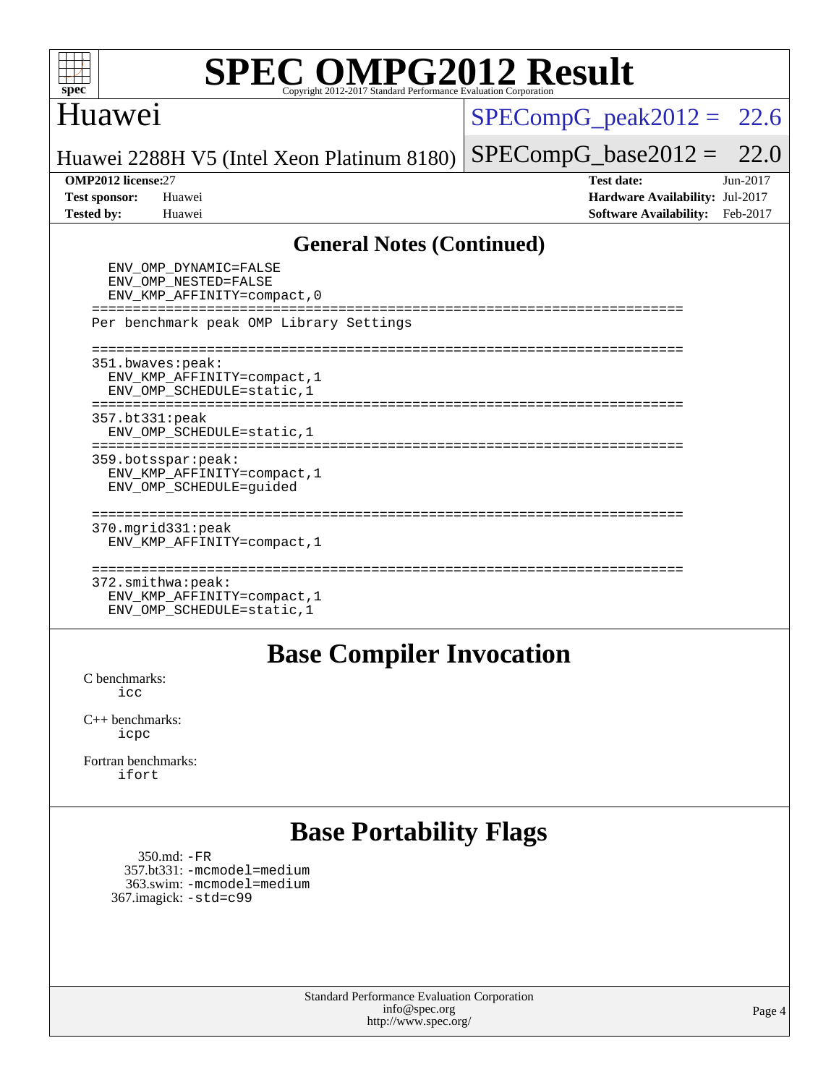

### Huawei

#### $SPECompG_peak2012 = 22.6$  $SPECompG_peak2012 = 22.6$

 $SPECompG_base2012 = 22.0$  $SPECompG_base2012 = 22.0$ 

Huawei 2288H V5 (Intel Xeon Platinum 8180)

**[OMP2012 license:](http://www.spec.org/auto/omp2012/Docs/result-fields.html#OMP2012license)**27 **[Test date:](http://www.spec.org/auto/omp2012/Docs/result-fields.html#Testdate)** Jun-2017 **[Test sponsor:](http://www.spec.org/auto/omp2012/Docs/result-fields.html#Testsponsor)** Huawei **[Hardware Availability:](http://www.spec.org/auto/omp2012/Docs/result-fields.html#HardwareAvailability)** Jul-2017 **[Tested by:](http://www.spec.org/auto/omp2012/Docs/result-fields.html#Testedby)** Huawei **[Software Availability:](http://www.spec.org/auto/omp2012/Docs/result-fields.html#SoftwareAvailability)** Feb-2017

#### **[General Notes \(Continued\)](http://www.spec.org/auto/omp2012/Docs/result-fields.html#GeneralNotes)**

| ENV OMP DYNAMIC=FALSE<br>ENV OMP NESTED=FALSE<br>ENV KMP AFFINITY=compact, 0   |
|--------------------------------------------------------------------------------|
| Per benchmark peak OMP Library Settings                                        |
| 351.bwaves: peak:<br>ENV KMP AFFINITY=compact, 1<br>ENV OMP SCHEDULE=static, 1 |
| 357.bt331:peak<br>ENV OMP SCHEDULE=static, 1                                   |
| 359.botsspar: peak:<br>ENV KMP AFFINITY=compact, 1<br>ENV OMP SCHEDULE=quided  |
| $370.\text{mgrid}331:\text{peak}$<br>ENV KMP AFFINITY=compact, 1               |
| 372.smithwa:peak:<br>ENV KMP AFFINITY=compact, 1<br>ENV OMP SCHEDULE=static, 1 |

#### **[Base Compiler Invocation](http://www.spec.org/auto/omp2012/Docs/result-fields.html#BaseCompilerInvocation)**

[C benchmarks](http://www.spec.org/auto/omp2012/Docs/result-fields.html#Cbenchmarks): [icc](http://www.spec.org/omp2012/results/res2017q3/omp2012-20170621-00099.flags.html#user_CCbase_intel_icc_a87c68a857bc5ec5362391a49d3a37a6)

[C++ benchmarks:](http://www.spec.org/auto/omp2012/Docs/result-fields.html#CXXbenchmarks) [icpc](http://www.spec.org/omp2012/results/res2017q3/omp2012-20170621-00099.flags.html#user_CXXbase_intel_icpc_2d899f8d163502b12eb4a60069f80c1c)

[Fortran benchmarks](http://www.spec.org/auto/omp2012/Docs/result-fields.html#Fortranbenchmarks): [ifort](http://www.spec.org/omp2012/results/res2017q3/omp2012-20170621-00099.flags.html#user_FCbase_intel_ifort_8a5e5e06b19a251bdeaf8fdab5d62f20)

# **[Base Portability Flags](http://www.spec.org/auto/omp2012/Docs/result-fields.html#BasePortabilityFlags)**

 350.md: [-FR](http://www.spec.org/omp2012/results/res2017q3/omp2012-20170621-00099.flags.html#user_baseFPORTABILITY350_md_f-FR) 357.bt331: [-mcmodel=medium](http://www.spec.org/omp2012/results/res2017q3/omp2012-20170621-00099.flags.html#user_basePORTABILITY357_bt331_f-mcmodel_3a41622424bdd074c4f0f2d2f224c7e5) 363.swim: [-mcmodel=medium](http://www.spec.org/omp2012/results/res2017q3/omp2012-20170621-00099.flags.html#user_basePORTABILITY363_swim_f-mcmodel_3a41622424bdd074c4f0f2d2f224c7e5) 367.imagick: [-std=c99](http://www.spec.org/omp2012/results/res2017q3/omp2012-20170621-00099.flags.html#user_baseCPORTABILITY367_imagick_f-std_2ec6533b6e06f1c4a6c9b78d9e9cde24)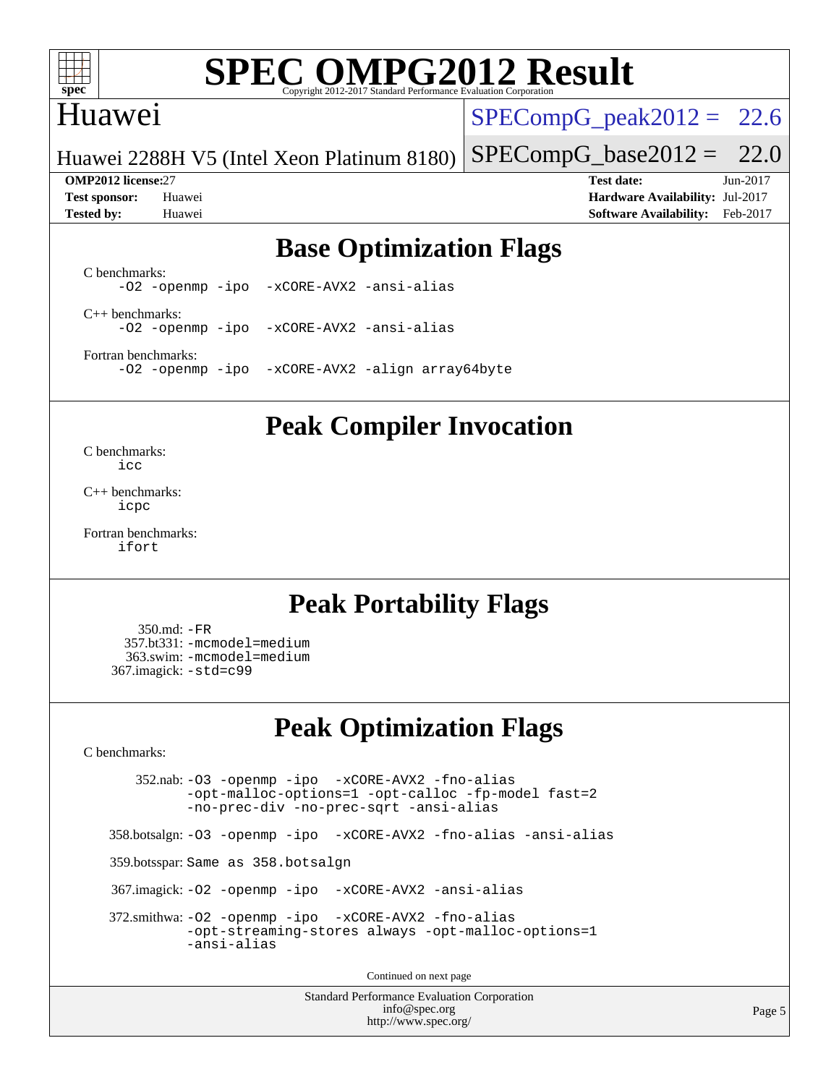

# Huawei

 $SPECompG_peak2012 = 22.6$  $SPECompG_peak2012 = 22.6$ 

Huawei 2288H V5 (Intel Xeon Platinum 8180)  $SPECompG_base2012 = 22.0$  $SPECompG_base2012 = 22.0$ 

**[OMP2012 license:](http://www.spec.org/auto/omp2012/Docs/result-fields.html#OMP2012license)**27 **[Test date:](http://www.spec.org/auto/omp2012/Docs/result-fields.html#Testdate)** Jun-2017 **[Test sponsor:](http://www.spec.org/auto/omp2012/Docs/result-fields.html#Testsponsor)** Huawei **[Hardware Availability:](http://www.spec.org/auto/omp2012/Docs/result-fields.html#HardwareAvailability)** Jul-2017 **[Tested by:](http://www.spec.org/auto/omp2012/Docs/result-fields.html#Testedby)** Huawei **[Software Availability:](http://www.spec.org/auto/omp2012/Docs/result-fields.html#SoftwareAvailability)** Feb-2017

# **[Base Optimization Flags](http://www.spec.org/auto/omp2012/Docs/result-fields.html#BaseOptimizationFlags)**

[C benchmarks](http://www.spec.org/auto/omp2012/Docs/result-fields.html#Cbenchmarks): [-O2](http://www.spec.org/omp2012/results/res2017q3/omp2012-20170621-00099.flags.html#user_CCbase_f-O2) [-openmp](http://www.spec.org/omp2012/results/res2017q3/omp2012-20170621-00099.flags.html#user_CCbase_f-openmp) [-ipo](http://www.spec.org/omp2012/results/res2017q3/omp2012-20170621-00099.flags.html#user_CCbase_f-ipo_84062ab53814f613187d02344b8f49a7) [-xCORE-AVX2](http://www.spec.org/omp2012/results/res2017q3/omp2012-20170621-00099.flags.html#user_CCbase_f-xCORE-AVX2) [-ansi-alias](http://www.spec.org/omp2012/results/res2017q3/omp2012-20170621-00099.flags.html#user_CCbase_f-ansi-alias)

[C++ benchmarks:](http://www.spec.org/auto/omp2012/Docs/result-fields.html#CXXbenchmarks) [-O2](http://www.spec.org/omp2012/results/res2017q3/omp2012-20170621-00099.flags.html#user_CXXbase_f-O2) [-openmp](http://www.spec.org/omp2012/results/res2017q3/omp2012-20170621-00099.flags.html#user_CXXbase_f-openmp) [-ipo](http://www.spec.org/omp2012/results/res2017q3/omp2012-20170621-00099.flags.html#user_CXXbase_f-ipo_84062ab53814f613187d02344b8f49a7) [-xCORE-AVX2](http://www.spec.org/omp2012/results/res2017q3/omp2012-20170621-00099.flags.html#user_CXXbase_f-xCORE-AVX2) [-ansi-alias](http://www.spec.org/omp2012/results/res2017q3/omp2012-20170621-00099.flags.html#user_CXXbase_f-ansi-alias)

[Fortran benchmarks](http://www.spec.org/auto/omp2012/Docs/result-fields.html#Fortranbenchmarks): [-O2](http://www.spec.org/omp2012/results/res2017q3/omp2012-20170621-00099.flags.html#user_FCbase_f-O2) [-openmp](http://www.spec.org/omp2012/results/res2017q3/omp2012-20170621-00099.flags.html#user_FCbase_f-openmp) [-ipo](http://www.spec.org/omp2012/results/res2017q3/omp2012-20170621-00099.flags.html#user_FCbase_f-ipo_84062ab53814f613187d02344b8f49a7) [-xCORE-AVX2](http://www.spec.org/omp2012/results/res2017q3/omp2012-20170621-00099.flags.html#user_FCbase_f-xCORE-AVX2) [-align array64byte](http://www.spec.org/omp2012/results/res2017q3/omp2012-20170621-00099.flags.html#user_FCbase_f-align_c9377f996e966d652baaf753401d4725)

#### **[Peak Compiler Invocation](http://www.spec.org/auto/omp2012/Docs/result-fields.html#PeakCompilerInvocation)**

[C benchmarks](http://www.spec.org/auto/omp2012/Docs/result-fields.html#Cbenchmarks): [icc](http://www.spec.org/omp2012/results/res2017q3/omp2012-20170621-00099.flags.html#user_CCpeak_intel_icc_a87c68a857bc5ec5362391a49d3a37a6)

[C++ benchmarks:](http://www.spec.org/auto/omp2012/Docs/result-fields.html#CXXbenchmarks) [icpc](http://www.spec.org/omp2012/results/res2017q3/omp2012-20170621-00099.flags.html#user_CXXpeak_intel_icpc_2d899f8d163502b12eb4a60069f80c1c)

[Fortran benchmarks](http://www.spec.org/auto/omp2012/Docs/result-fields.html#Fortranbenchmarks): [ifort](http://www.spec.org/omp2012/results/res2017q3/omp2012-20170621-00099.flags.html#user_FCpeak_intel_ifort_8a5e5e06b19a251bdeaf8fdab5d62f20)

# **[Peak Portability Flags](http://www.spec.org/auto/omp2012/Docs/result-fields.html#PeakPortabilityFlags)**

 350.md: [-FR](http://www.spec.org/omp2012/results/res2017q3/omp2012-20170621-00099.flags.html#user_peakFPORTABILITY350_md_f-FR) 357.bt331: [-mcmodel=medium](http://www.spec.org/omp2012/results/res2017q3/omp2012-20170621-00099.flags.html#user_peakPORTABILITY357_bt331_f-mcmodel_3a41622424bdd074c4f0f2d2f224c7e5) 363.swim: [-mcmodel=medium](http://www.spec.org/omp2012/results/res2017q3/omp2012-20170621-00099.flags.html#user_peakPORTABILITY363_swim_f-mcmodel_3a41622424bdd074c4f0f2d2f224c7e5) 367.imagick: [-std=c99](http://www.spec.org/omp2012/results/res2017q3/omp2012-20170621-00099.flags.html#user_peakCPORTABILITY367_imagick_f-std_2ec6533b6e06f1c4a6c9b78d9e9cde24)

# **[Peak Optimization Flags](http://www.spec.org/auto/omp2012/Docs/result-fields.html#PeakOptimizationFlags)**

[C benchmarks](http://www.spec.org/auto/omp2012/Docs/result-fields.html#Cbenchmarks):

 352.nab: [-O3](http://www.spec.org/omp2012/results/res2017q3/omp2012-20170621-00099.flags.html#user_peakOPTIMIZE352_nab_f-O3) [-openmp](http://www.spec.org/omp2012/results/res2017q3/omp2012-20170621-00099.flags.html#user_peakOPTIMIZE352_nab_f-openmp) [-ipo](http://www.spec.org/omp2012/results/res2017q3/omp2012-20170621-00099.flags.html#user_peakOPTIMIZE352_nab_f-ipo_84062ab53814f613187d02344b8f49a7) [-xCORE-AVX2](http://www.spec.org/omp2012/results/res2017q3/omp2012-20170621-00099.flags.html#user_peakOPTIMIZE352_nab_f-xCORE-AVX2) [-fno-alias](http://www.spec.org/omp2012/results/res2017q3/omp2012-20170621-00099.flags.html#user_peakOPTIMIZE352_nab_f-no-alias_694e77f6c5a51e658e82ccff53a9e63a) [-opt-malloc-options=1](http://www.spec.org/omp2012/results/res2017q3/omp2012-20170621-00099.flags.html#user_peakOPTIMIZE352_nab_f-opt-malloc-options_d882ffc6ff87e51efe45f9a5190004b0) [-opt-calloc](http://www.spec.org/omp2012/results/res2017q3/omp2012-20170621-00099.flags.html#user_peakOPTIMIZE352_nab_f-opt-calloc) [-fp-model fast=2](http://www.spec.org/omp2012/results/res2017q3/omp2012-20170621-00099.flags.html#user_peakOPTIMIZE352_nab_f-fp-model_a7fb8ccb7275e23f0079632c153cfcab) [-no-prec-div](http://www.spec.org/omp2012/results/res2017q3/omp2012-20170621-00099.flags.html#user_peakOPTIMIZE352_nab_f-no-prec-div) [-no-prec-sqrt](http://www.spec.org/omp2012/results/res2017q3/omp2012-20170621-00099.flags.html#user_peakOPTIMIZE352_nab_f-no-prec-sqrt) [-ansi-alias](http://www.spec.org/omp2012/results/res2017q3/omp2012-20170621-00099.flags.html#user_peakCOPTIMIZE352_nab_f-ansi-alias)

358.botsalgn: [-O3](http://www.spec.org/omp2012/results/res2017q3/omp2012-20170621-00099.flags.html#user_peakOPTIMIZE358_botsalgn_f-O3) [-openmp](http://www.spec.org/omp2012/results/res2017q3/omp2012-20170621-00099.flags.html#user_peakOPTIMIZE358_botsalgn_f-openmp) [-ipo](http://www.spec.org/omp2012/results/res2017q3/omp2012-20170621-00099.flags.html#user_peakOPTIMIZE358_botsalgn_f-ipo_84062ab53814f613187d02344b8f49a7) [-xCORE-AVX2](http://www.spec.org/omp2012/results/res2017q3/omp2012-20170621-00099.flags.html#user_peakOPTIMIZE358_botsalgn_f-xCORE-AVX2) [-fno-alias](http://www.spec.org/omp2012/results/res2017q3/omp2012-20170621-00099.flags.html#user_peakOPTIMIZE358_botsalgn_f-no-alias_694e77f6c5a51e658e82ccff53a9e63a) [-ansi-alias](http://www.spec.org/omp2012/results/res2017q3/omp2012-20170621-00099.flags.html#user_peakCOPTIMIZE358_botsalgn_f-ansi-alias)

359.botsspar: Same as 358.botsalgn

367.imagick: [-O2](http://www.spec.org/omp2012/results/res2017q3/omp2012-20170621-00099.flags.html#user_peakOPTIMIZE367_imagick_f-O2) [-openmp](http://www.spec.org/omp2012/results/res2017q3/omp2012-20170621-00099.flags.html#user_peakOPTIMIZE367_imagick_f-openmp) [-ipo](http://www.spec.org/omp2012/results/res2017q3/omp2012-20170621-00099.flags.html#user_peakOPTIMIZE367_imagick_f-ipo_84062ab53814f613187d02344b8f49a7) [-xCORE-AVX2](http://www.spec.org/omp2012/results/res2017q3/omp2012-20170621-00099.flags.html#user_peakOPTIMIZE367_imagick_f-xCORE-AVX2) [-ansi-alias](http://www.spec.org/omp2012/results/res2017q3/omp2012-20170621-00099.flags.html#user_peakCOPTIMIZE367_imagick_f-ansi-alias)

 372.smithwa: [-O2](http://www.spec.org/omp2012/results/res2017q3/omp2012-20170621-00099.flags.html#user_peakOPTIMIZE372_smithwa_f-O2) [-openmp](http://www.spec.org/omp2012/results/res2017q3/omp2012-20170621-00099.flags.html#user_peakOPTIMIZE372_smithwa_f-openmp) [-ipo](http://www.spec.org/omp2012/results/res2017q3/omp2012-20170621-00099.flags.html#user_peakOPTIMIZE372_smithwa_f-ipo_84062ab53814f613187d02344b8f49a7) [-xCORE-AVX2](http://www.spec.org/omp2012/results/res2017q3/omp2012-20170621-00099.flags.html#user_peakOPTIMIZE372_smithwa_f-xCORE-AVX2) [-fno-alias](http://www.spec.org/omp2012/results/res2017q3/omp2012-20170621-00099.flags.html#user_peakOPTIMIZE372_smithwa_f-no-alias_694e77f6c5a51e658e82ccff53a9e63a) [-opt-streaming-stores always](http://www.spec.org/omp2012/results/res2017q3/omp2012-20170621-00099.flags.html#user_peakOPTIMIZE372_smithwa_f-opt-streaming-stores-always_66f55dbc532842151ebc4c82f4f5b019) [-opt-malloc-options=1](http://www.spec.org/omp2012/results/res2017q3/omp2012-20170621-00099.flags.html#user_peakOPTIMIZE372_smithwa_f-opt-malloc-options_d882ffc6ff87e51efe45f9a5190004b0) [-ansi-alias](http://www.spec.org/omp2012/results/res2017q3/omp2012-20170621-00099.flags.html#user_peakCOPTIMIZE372_smithwa_f-ansi-alias)

Continued on next page